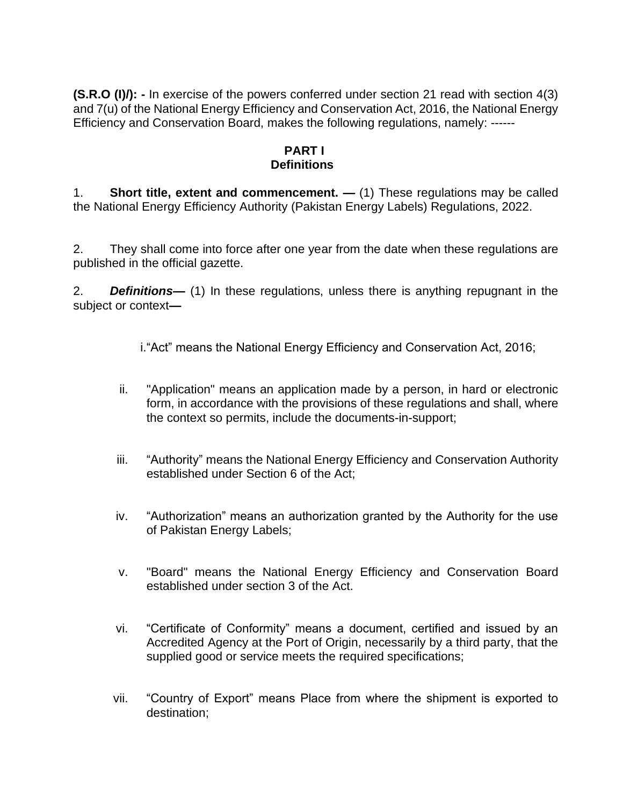**(S.R.O (I)/):** - In exercise of the powers conferred under section 21 read with section 4(3) and 7(u) of the National Energy Efficiency and Conservation Act, 2016, the National Energy Efficiency and Conservation Board, makes the following regulations, namely: ------

### **PART I Definitions**

1. **Short title, extent and commencement. —** (1) These regulations may be called the National Energy Efficiency Authority (Pakistan Energy Labels) Regulations, 2022.

2. They shall come into force after one year from the date when these regulations are published in the official gazette.

2. *Definitions—* (1) In these regulations, unless there is anything repugnant in the subject or context*—*

i."Act" means the National Energy Efficiency and Conservation Act, 2016;

- ii. "Application" means an application made by a person, in hard or electronic form, in accordance with the provisions of these regulations and shall, where the context so permits, include the documents-in-support;
- iii. "Authority" means the National Energy Efficiency and Conservation Authority established under Section 6 of the Act;
- iv. "Authorization" means an authorization granted by the Authority for the use of Pakistan Energy Labels;
- v. "Board" means the National Energy Efficiency and Conservation Board established under section 3 of the Act.
- vi. "Certificate of Conformity" means a document, certified and issued by an Accredited Agency at the Port of Origin, necessarily by a third party, that the supplied good or service meets the required specifications;
- vii. "Country of Export" means Place from where the shipment is exported to destination;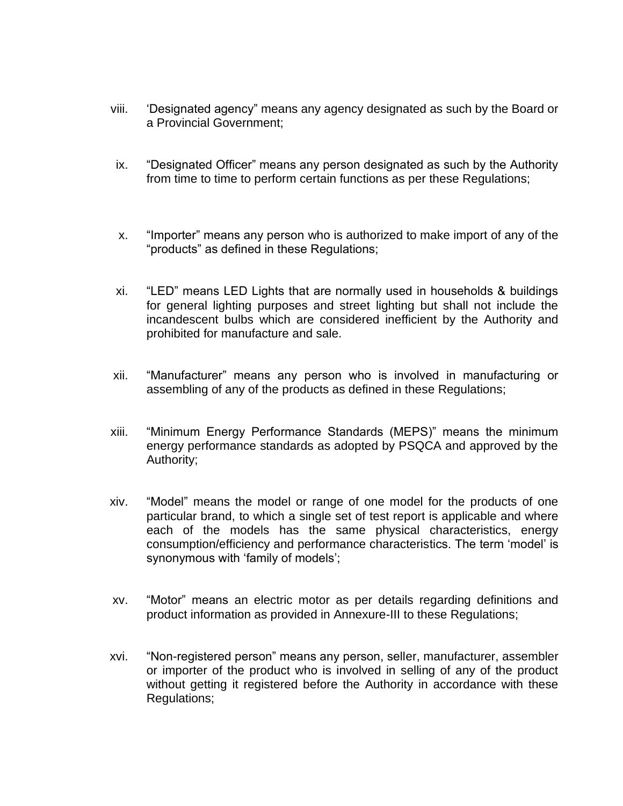- viii. 'Designated agency" means any agency designated as such by the Board or a Provincial Government;
- ix. "Designated Officer" means any person designated as such by the Authority from time to time to perform certain functions as per these Regulations;
- x. "Importer" means any person who is authorized to make import of any of the "products" as defined in these Regulations;
- xi. "LED" means LED Lights that are normally used in households & buildings for general lighting purposes and street lighting but shall not include the incandescent bulbs which are considered inefficient by the Authority and prohibited for manufacture and sale.
- xii. "Manufacturer" means any person who is involved in manufacturing or assembling of any of the products as defined in these Regulations;
- xiii. "Minimum Energy Performance Standards (MEPS)" means the minimum energy performance standards as adopted by PSQCA and approved by the Authority;
- xiv. "Model" means the model or range of one model for the products of one particular brand, to which a single set of test report is applicable and where each of the models has the same physical characteristics, energy consumption/efficiency and performance characteristics. The term 'model' is synonymous with 'family of models';
- xv. "Motor" means an electric motor as per details regarding definitions and product information as provided in Annexure-III to these Regulations;
- xvi. "Non-registered person" means any person, seller, manufacturer, assembler or importer of the product who is involved in selling of any of the product without getting it registered before the Authority in accordance with these Regulations;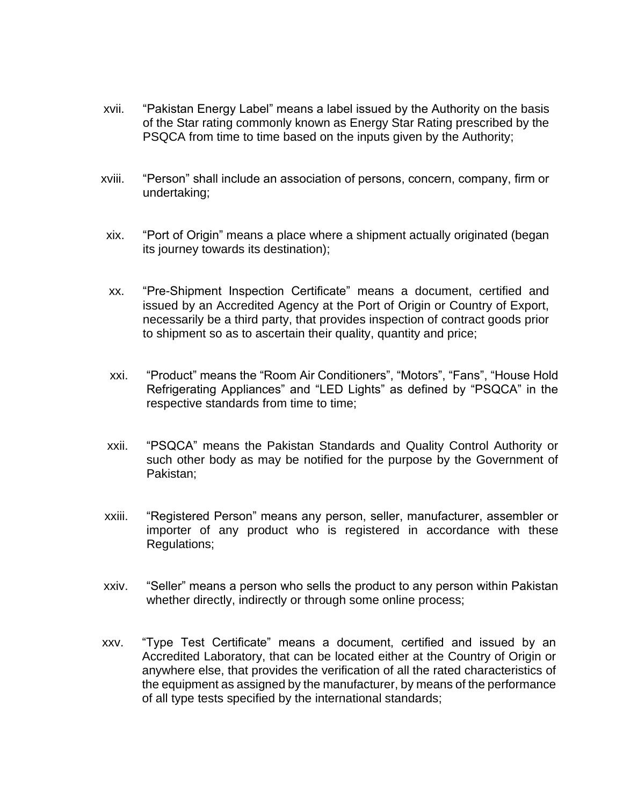- xvii. "Pakistan Energy Label" means a label issued by the Authority on the basis of the Star rating commonly known as Energy Star Rating prescribed by the PSQCA from time to time based on the inputs given by the Authority;
- xviii. "Person" shall include an association of persons, concern, company, firm or undertaking;
	- xix. "Port of Origin" means a place where a shipment actually originated (began its journey towards its destination);
	- xx. "Pre-Shipment Inspection Certificate" means a document, certified and issued by an Accredited Agency at the Port of Origin or Country of Export, necessarily be a third party, that provides inspection of contract goods prior to shipment so as to ascertain their quality, quantity and price;
	- xxi. "Product" means the "Room Air Conditioners", "Motors", "Fans", "House Hold Refrigerating Appliances" and "LED Lights" as defined by "PSQCA" in the respective standards from time to time;
	- xxii. "PSQCA" means the Pakistan Standards and Quality Control Authority or such other body as may be notified for the purpose by the Government of Pakistan;
- xxiii. "Registered Person" means any person, seller, manufacturer, assembler or importer of any product who is registered in accordance with these Regulations;
- xxiv. "Seller" means a person who sells the product to any person within Pakistan whether directly, indirectly or through some online process;
- xxv. "Type Test Certificate" means a document, certified and issued by an Accredited Laboratory, that can be located either at the Country of Origin or anywhere else, that provides the verification of all the rated characteristics of the equipment as assigned by the manufacturer, by means of the performance of all type tests specified by the international standards;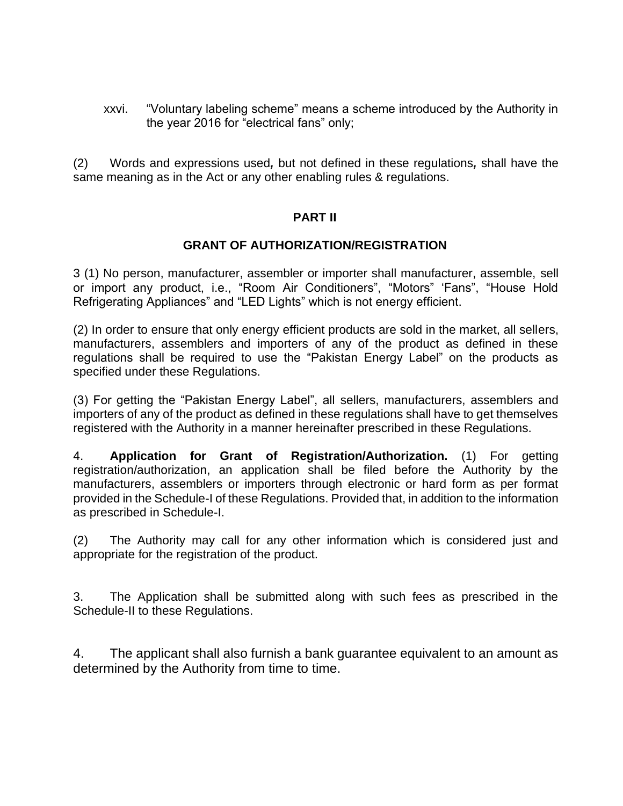xxvi. "Voluntary labeling scheme" means a scheme introduced by the Authority in the year 2016 for "electrical fans" only;

(2) Words and expressions used*,* but not defined in these regulations*,* shall have the same meaning as in the Act or any other enabling rules & regulations.

#### **PART II**

## **GRANT OF AUTHORIZATION/REGISTRATION**

3 (1) No person, manufacturer, assembler or importer shall manufacturer, assemble, sell or import any product, i.e., "Room Air Conditioners", "Motors" 'Fans", "House Hold Refrigerating Appliances" and "LED Lights" which is not energy efficient.

(2) In order to ensure that only energy efficient products are sold in the market, all sellers, manufacturers, assemblers and importers of any of the product as defined in these regulations shall be required to use the "Pakistan Energy Label" on the products as specified under these Regulations.

(3) For getting the "Pakistan Energy Label", all sellers, manufacturers, assemblers and importers of any of the product as defined in these regulations shall have to get themselves registered with the Authority in a manner hereinafter prescribed in these Regulations.

4. **Application for Grant of Registration/Authorization.** (1) For getting registration/authorization, an application shall be filed before the Authority by the manufacturers, assemblers or importers through electronic or hard form as per format provided in the Schedule-I of these Regulations. Provided that, in addition to the information as prescribed in Schedule-I.

(2) The Authority may call for any other information which is considered just and appropriate for the registration of the product.

3. The Application shall be submitted along with such fees as prescribed in the Schedule-II to these Regulations.

4. The applicant shall also furnish a bank guarantee equivalent to an amount as determined by the Authority from time to time.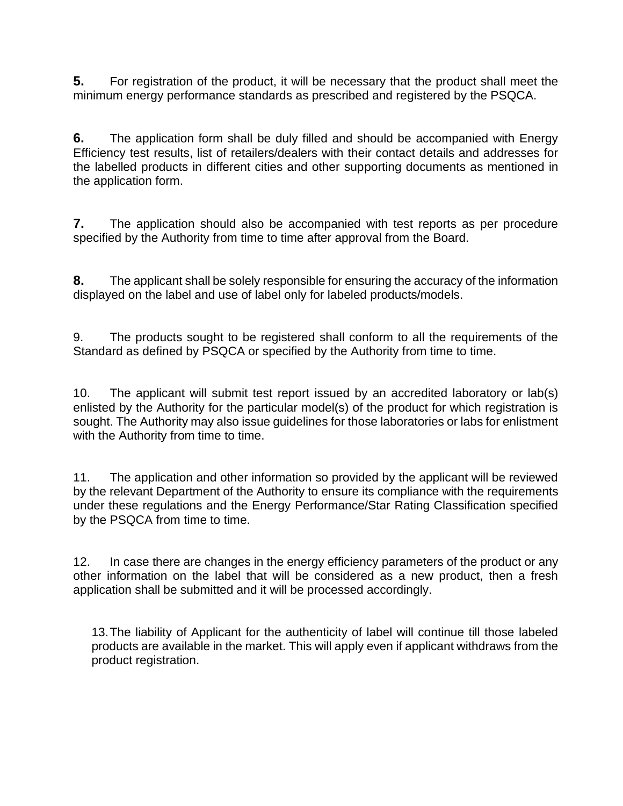**5.** For registration of the product, it will be necessary that the product shall meet the minimum energy performance standards as prescribed and registered by the PSQCA.

**6.** The application form shall be duly filled and should be accompanied with Energy Efficiency test results, list of retailers/dealers with their contact details and addresses for the labelled products in different cities and other supporting documents as mentioned in the application form.

**7.** The application should also be accompanied with test reports as per procedure specified by the Authority from time to time after approval from the Board.

**8.** The applicant shall be solely responsible for ensuring the accuracy of the information displayed on the label and use of label only for labeled products/models.

9. The products sought to be registered shall conform to all the requirements of the Standard as defined by PSQCA or specified by the Authority from time to time.

10. The applicant will submit test report issued by an accredited laboratory or lab(s) enlisted by the Authority for the particular model(s) of the product for which registration is sought. The Authority may also issue guidelines for those laboratories or labs for enlistment with the Authority from time to time.

11. The application and other information so provided by the applicant will be reviewed by the relevant Department of the Authority to ensure its compliance with the requirements under these regulations and the Energy Performance/Star Rating Classification specified by the PSQCA from time to time.

12. In case there are changes in the energy efficiency parameters of the product or any other information on the label that will be considered as a new product, then a fresh application shall be submitted and it will be processed accordingly.

13.The liability of Applicant for the authenticity of label will continue till those labeled products are available in the market. This will apply even if applicant withdraws from the product registration.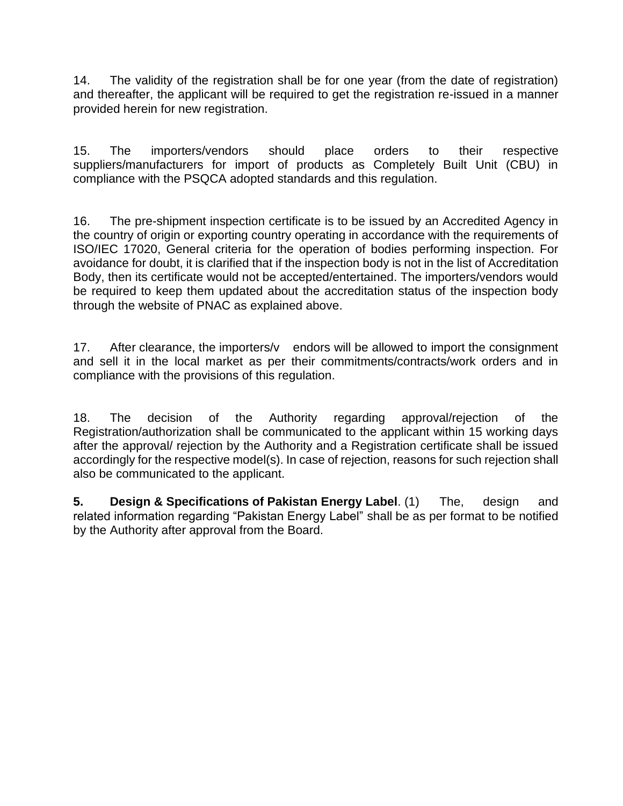14. The validity of the registration shall be for one year (from the date of registration) and thereafter, the applicant will be required to get the registration re-issued in a manner provided herein for new registration.

15. The importers/vendors should place orders to their respective suppliers/manufacturers for import of products as Completely Built Unit (CBU) in compliance with the PSQCA adopted standards and this regulation.

16. The pre-shipment inspection certificate is to be issued by an Accredited Agency in the country of origin or exporting country operating in accordance with the requirements of ISO/IEC 17020, General criteria for the operation of bodies performing inspection. For avoidance for doubt, it is clarified that if the inspection body is not in the list of Accreditation Body, then its certificate would not be accepted/entertained. The importers/vendors would be required to keep them updated about the accreditation status of the inspection body through the website of PNAC as explained above.

17. After clearance, the importers/y endors will be allowed to import the consignment and sell it in the local market as per their commitments/contracts/work orders and in compliance with the provisions of this regulation.

18. The decision of the Authority regarding approval/rejection of the Registration/authorization shall be communicated to the applicant within 15 working days after the approval/ rejection by the Authority and a Registration certificate shall be issued accordingly for the respective model(s). In case of rejection, reasons for such rejection shall also be communicated to the applicant.

**5. Design & Specifications of Pakistan Energy Label**. (1) The, design and related information regarding "Pakistan Energy Label" shall be as per format to be notified by the Authority after approval from the Board.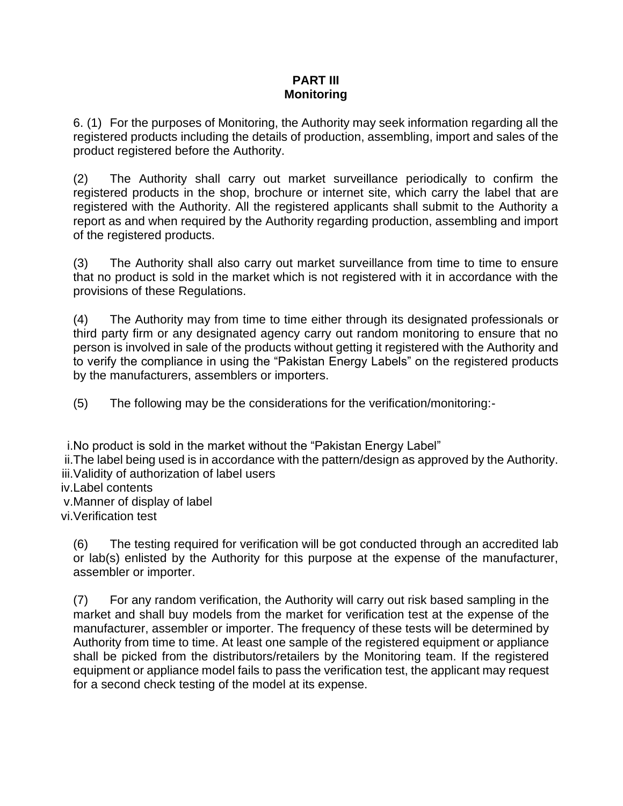#### **PART III Monitoring**

6. (1) For the purposes of Monitoring, the Authority may seek information regarding all the registered products including the details of production, assembling, import and sales of the product registered before the Authority.

(2) The Authority shall carry out market surveillance periodically to confirm the registered products in the shop, brochure or internet site, which carry the label that are registered with the Authority. All the registered applicants shall submit to the Authority a report as and when required by the Authority regarding production, assembling and import of the registered products.

(3) The Authority shall also carry out market surveillance from time to time to ensure that no product is sold in the market which is not registered with it in accordance with the provisions of these Regulations.

(4) The Authority may from time to time either through its designated professionals or third party firm or any designated agency carry out random monitoring to ensure that no person is involved in sale of the products without getting it registered with the Authority and to verify the compliance in using the "Pakistan Energy Labels" on the registered products by the manufacturers, assemblers or importers.

(5) The following may be the considerations for the verification/monitoring:-

i.No product is sold in the market without the "Pakistan Energy Label" ii.The label being used is in accordance with the pattern/design as approved by the Authority. iii.Validity of authorization of label users iv.Label contents v.Manner of display of label

vi.Verification test

(6) The testing required for verification will be got conducted through an accredited lab or lab(s) enlisted by the Authority for this purpose at the expense of the manufacturer, assembler or importer.

(7) For any random verification, the Authority will carry out risk based sampling in the market and shall buy models from the market for verification test at the expense of the manufacturer, assembler or importer. The frequency of these tests will be determined by Authority from time to time. At least one sample of the registered equipment or appliance shall be picked from the distributors/retailers by the Monitoring team. If the registered equipment or appliance model fails to pass the verification test, the applicant may request for a second check testing of the model at its expense.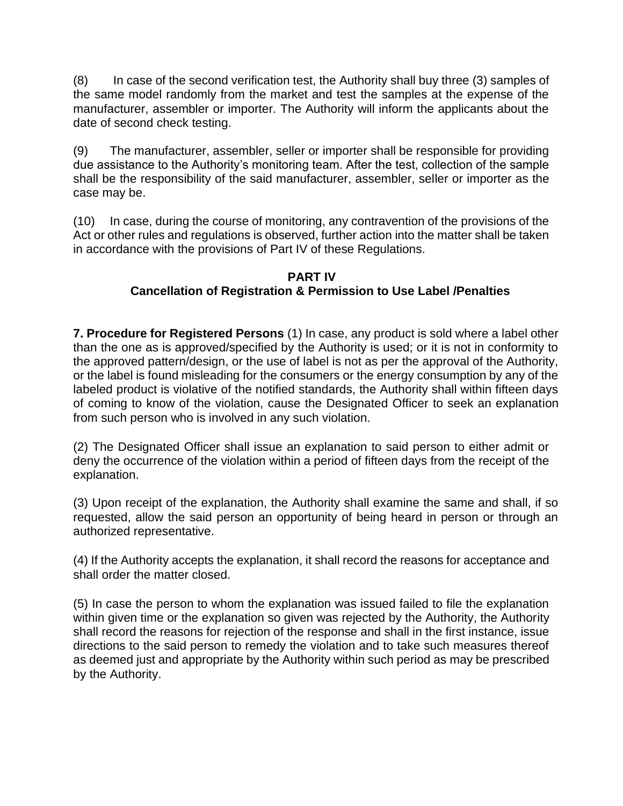(8) In case of the second verification test, the Authority shall buy three (3) samples of the same model randomly from the market and test the samples at the expense of the manufacturer, assembler or importer. The Authority will inform the applicants about the date of second check testing.

(9) The manufacturer, assembler, seller or importer shall be responsible for providing due assistance to the Authority's monitoring team. After the test, collection of the sample shall be the responsibility of the said manufacturer, assembler, seller or importer as the case may be.

(10) In case, during the course of monitoring, any contravention of the provisions of the Act or other rules and regulations is observed, further action into the matter shall be taken in accordance with the provisions of Part IV of these Regulations.

## **PART IV Cancellation of Registration & Permission to Use Label /Penalties**

**7. Procedure for Registered Persons** (1) In case, any product is sold where a label other than the one as is approved/specified by the Authority is used; or it is not in conformity to the approved pattern/design, or the use of label is not as per the approval of the Authority, or the label is found misleading for the consumers or the energy consumption by any of the labeled product is violative of the notified standards, the Authority shall within fifteen days of coming to know of the violation, cause the Designated Officer to seek an explanation from such person who is involved in any such violation.

(2) The Designated Officer shall issue an explanation to said person to either admit or deny the occurrence of the violation within a period of fifteen days from the receipt of the explanation.

(3) Upon receipt of the explanation, the Authority shall examine the same and shall, if so requested, allow the said person an opportunity of being heard in person or through an authorized representative.

(4) If the Authority accepts the explanation, it shall record the reasons for acceptance and shall order the matter closed.

(5) In case the person to whom the explanation was issued failed to file the explanation within given time or the explanation so given was rejected by the Authority, the Authority shall record the reasons for rejection of the response and shall in the first instance, issue directions to the said person to remedy the violation and to take such measures thereof as deemed just and appropriate by the Authority within such period as may be prescribed by the Authority.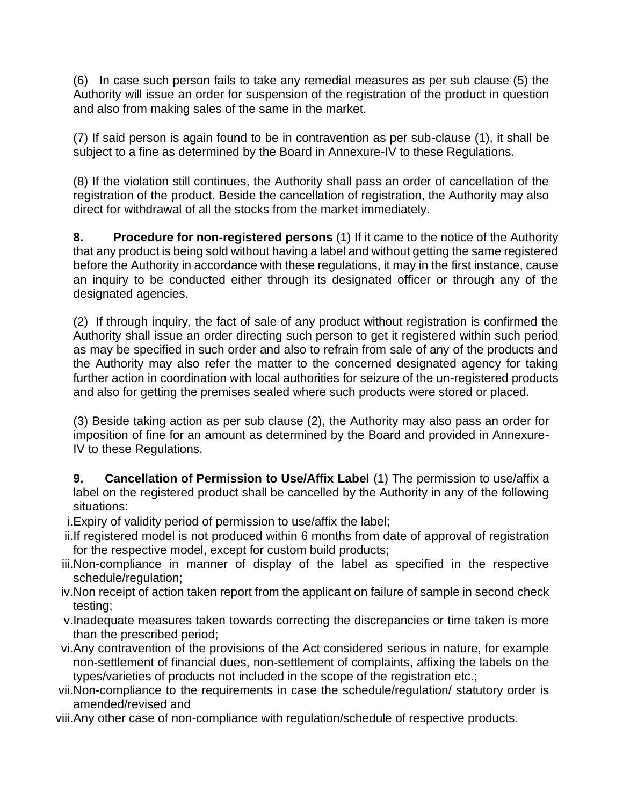(6) In case such person fails to take any remedial measures as per sub clause (5) the Authority will issue an order for suspension of the registration of the product in question and also from making sales of the same in the market.

(7) If said person is again found to be in contravention as per sub-clause (1), it shall be subject to a fine as determined by the Board in Annexure-IV to these Regulations.

(8) If the violation still continues, the Authority shall pass an order of cancellation of the registration of the product. Beside the cancellation of registration, the Authority may also direct for withdrawal of all the stocks from the market immediately.

**8. Procedure for non-registered persons** (1) If it came to the notice of the Authority that any product is being sold without having a label and without getting the same registered before the Authority in accordance with these regulations, it may in the first instance, cause an inquiry to be conducted either through its designated officer or through any of the designated agencies.

(2) If through inquiry, the fact of sale of any product without registration is confirmed the Authority shall issue an order directing such person to get it registered within such period as may be specified in such order and also to refrain from sale of any of the products and the Authority may also refer the matter to the concerned designated agency for taking further action in coordination with local authorities for seizure of the un-registered products and also for getting the premises sealed where such products were stored or placed.

(3) Beside taking action as per sub clause (2), the Authority may also pass an order for imposition of fine for an amount as determined by the Board and provided in Annexure-IV to these Regulations.

**9. Cancellation of Permission to Use/Affix Label** (1) The permission to use/affix a label on the registered product shall be cancelled by the Authority in any of the following situations:

- i.Expiry of validity period of permission to use/affix the label;
- ii.If registered model is not produced within 6 months from date of approval of registration for the respective model, except for custom build products;
- iii.Non-compliance in manner of display of the label as specified in the respective schedule/regulation;
- iv.Non receipt of action taken report from the applicant on failure of sample in second check testing;
- v.Inadequate measures taken towards correcting the discrepancies or time taken is more than the prescribed period;
- vi.Any contravention of the provisions of the Act considered serious in nature, for example non-settlement of financial dues, non-settlement of complaints, affixing the labels on the types/varieties of products not included in the scope of the registration etc.;
- vii.Non-compliance to the requirements in case the schedule/regulation/ statutory order is amended/revised and
- viii.Any other case of non-compliance with regulation/schedule of respective products.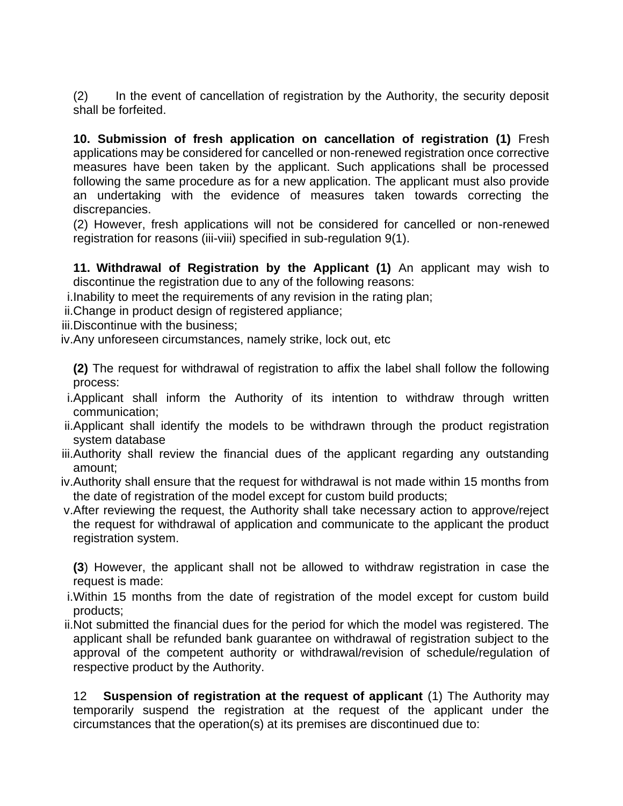(2) In the event of cancellation of registration by the Authority, the security deposit shall be forfeited.

**10. Submission of fresh application on cancellation of registration (1)** Fresh applications may be considered for cancelled or non-renewed registration once corrective measures have been taken by the applicant. Such applications shall be processed following the same procedure as for a new application. The applicant must also provide an undertaking with the evidence of measures taken towards correcting the discrepancies.

(2) However, fresh applications will not be considered for cancelled or non-renewed registration for reasons (iii-viii) specified in sub-regulation 9(1).

**11. Withdrawal of Registration by the Applicant (1)** An applicant may wish to discontinue the registration due to any of the following reasons:

- i.Inability to meet the requirements of any revision in the rating plan;
- ii.Change in product design of registered appliance;

iii.Discontinue with the business;

iv.Any unforeseen circumstances, namely strike, lock out, etc

**(2)** The request for withdrawal of registration to affix the label shall follow the following process:

- i.Applicant shall inform the Authority of its intention to withdraw through written communication;
- ii.Applicant shall identify the models to be withdrawn through the product registration system database
- iii.Authority shall review the financial dues of the applicant regarding any outstanding amount;
- iv.Authority shall ensure that the request for withdrawal is not made within 15 months from the date of registration of the model except for custom build products;
- v.After reviewing the request, the Authority shall take necessary action to approve/reject the request for withdrawal of application and communicate to the applicant the product registration system.

**(3**) However, the applicant shall not be allowed to withdraw registration in case the request is made:

- i.Within 15 months from the date of registration of the model except for custom build products;
- ii.Not submitted the financial dues for the period for which the model was registered. The applicant shall be refunded bank guarantee on withdrawal of registration subject to the approval of the competent authority or withdrawal/revision of schedule/regulation of respective product by the Authority.

12 **Suspension of registration at the request of applicant** (1) The Authority may temporarily suspend the registration at the request of the applicant under the circumstances that the operation(s) at its premises are discontinued due to: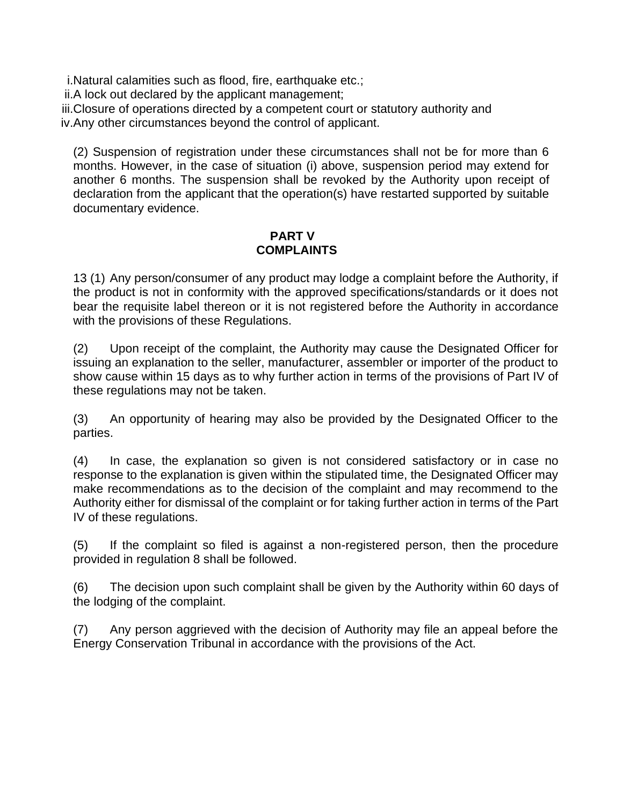i.Natural calamities such as flood, fire, earthquake etc.;

ii.A lock out declared by the applicant management;

iii.Closure of operations directed by a competent court or statutory authority and

iv.Any other circumstances beyond the control of applicant.

(2) Suspension of registration under these circumstances shall not be for more than 6 months. However, in the case of situation (i) above, suspension period may extend for another 6 months. The suspension shall be revoked by the Authority upon receipt of declaration from the applicant that the operation(s) have restarted supported by suitable documentary evidence.

#### **PART V COMPLAINTS**

13 (1) Any person/consumer of any product may lodge a complaint before the Authority, if the product is not in conformity with the approved specifications/standards or it does not bear the requisite label thereon or it is not registered before the Authority in accordance with the provisions of these Regulations.

(2) Upon receipt of the complaint, the Authority may cause the Designated Officer for issuing an explanation to the seller, manufacturer, assembler or importer of the product to show cause within 15 days as to why further action in terms of the provisions of Part IV of these regulations may not be taken.

(3) An opportunity of hearing may also be provided by the Designated Officer to the parties.

(4) In case, the explanation so given is not considered satisfactory or in case no response to the explanation is given within the stipulated time, the Designated Officer may make recommendations as to the decision of the complaint and may recommend to the Authority either for dismissal of the complaint or for taking further action in terms of the Part IV of these regulations.

(5) If the complaint so filed is against a non-registered person, then the procedure provided in regulation 8 shall be followed.

(6) The decision upon such complaint shall be given by the Authority within 60 days of the lodging of the complaint.

(7) Any person aggrieved with the decision of Authority may file an appeal before the Energy Conservation Tribunal in accordance with the provisions of the Act.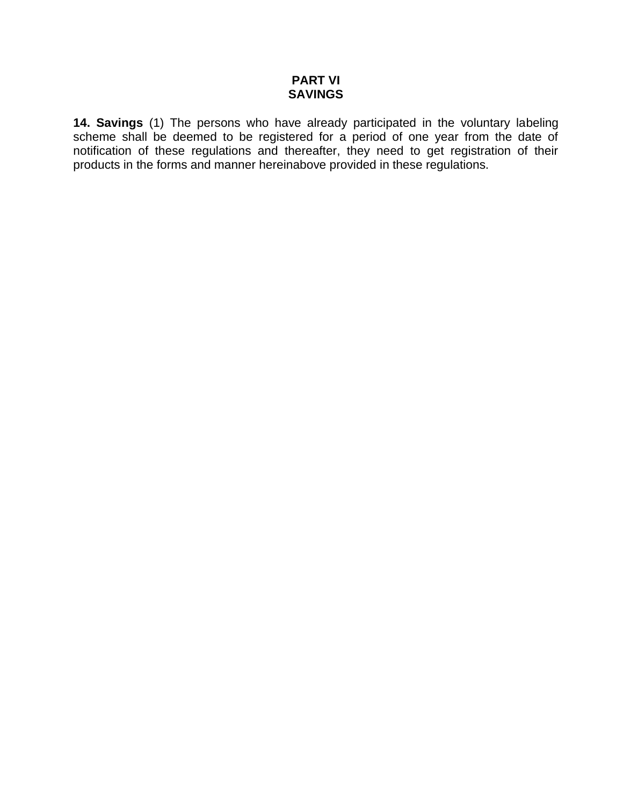#### **PART VI SAVINGS**

**14. Savings** (1) The persons who have already participated in the voluntary labeling scheme shall be deemed to be registered for a period of one year from the date of notification of these regulations and thereafter, they need to get registration of their products in the forms and manner hereinabove provided in these regulations.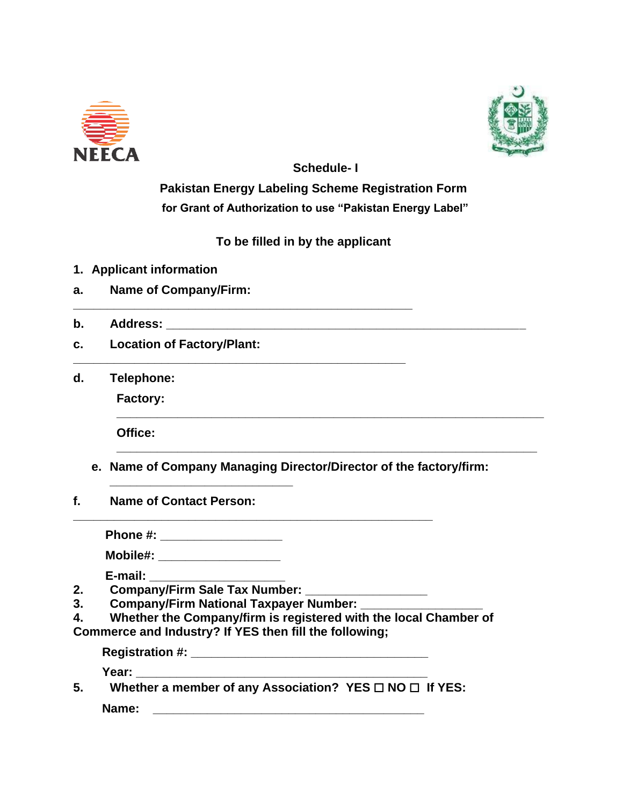



**Schedule- I**

**Pakistan Energy Labeling Scheme Registration Form for Grant of Authorization to use "Pakistan Energy Label"**

 **To be filled in by the applicant**

**\_\_\_\_\_\_\_\_\_\_\_\_\_\_\_\_\_\_\_\_\_\_\_\_\_\_\_\_\_\_\_\_\_\_\_\_\_\_\_\_\_\_\_\_\_\_\_\_\_\_**

- **1. Applicant information**
- **a. Name of Company/Firm:**
- **b. Address: \_\_\_\_**
- **c. Location of Factory/Plant:**
- **d. Telephone:**

**Factory:**

**Office:** 

**e. Name of Company Managing Director/Director of the factory/firm:** 

**\_\_\_\_\_\_\_\_\_\_\_\_\_\_\_\_\_\_\_\_\_\_\_\_\_\_\_\_\_\_\_\_\_\_\_\_\_\_\_\_\_\_\_\_\_\_\_\_\_\_\_\_\_\_\_\_\_\_\_\_\_\_\_**

**\_\_\_\_\_\_\_\_\_\_\_\_\_\_\_\_\_\_\_\_\_\_\_\_\_\_\_\_\_\_\_\_\_\_\_\_\_\_\_\_\_\_\_\_\_\_\_\_\_\_\_\_\_\_\_\_\_\_\_\_\_\_**

**f. Name of Contact Person:** 

**Phone #: \_\_\_\_\_\_\_\_\_\_\_\_\_\_\_\_\_\_**

**\_\_\_\_\_\_\_\_\_\_\_\_\_\_\_\_\_\_\_\_\_\_\_\_\_\_\_**

**Mobile#: \_\_\_\_\_\_\_\_\_\_\_\_\_\_\_\_\_\_**

**E-mail: \_\_\_\_\_\_\_\_\_\_\_\_\_\_\_\_\_\_\_\_**

- **2. Company/Firm Sale Tax Number: \_\_\_\_\_\_\_\_\_\_\_\_\_\_\_\_\_\_**
- **3. Company/Firm National Taxpayer Number: \_\_\_\_\_\_\_\_\_\_\_\_\_\_\_\_\_\_**
- **4. Whether the Company/firm is registered with the local Chamber of Commerce and Industry? If YES then fill the following;**

**Registration #: \_\_\_\_\_\_\_\_\_\_\_\_\_\_\_\_\_\_\_\_\_\_\_\_\_\_\_\_\_\_\_\_\_\_\_ Year: \_\_\_\_\_\_\_\_\_\_\_\_\_\_\_\_\_\_\_\_\_\_\_\_\_\_\_\_\_\_\_\_\_\_\_\_\_\_\_\_\_\_\_**

**\_\_\_\_\_\_\_\_\_\_\_\_\_\_\_\_\_\_\_\_\_\_\_\_\_\_\_\_\_\_\_\_\_\_\_\_\_\_\_\_\_\_\_\_\_\_\_\_\_\_\_\_\_**

**5. Whether a member of any Association? YES** ☐ **NO** ☐ **If YES: Name: \_\_\_\_\_\_\_\_\_\_\_\_\_\_\_\_\_\_\_\_\_\_\_\_\_\_\_\_\_\_\_\_\_\_\_\_\_\_\_\_**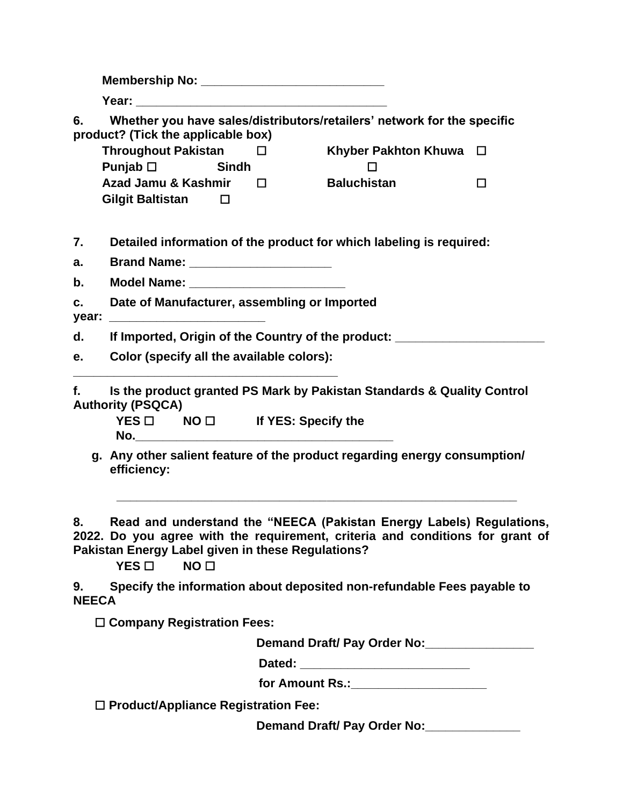|                    | Membership No: ________________________________                                                               |        |                                                                                                                                                       |        |  |  |  |
|--------------------|---------------------------------------------------------------------------------------------------------------|--------|-------------------------------------------------------------------------------------------------------------------------------------------------------|--------|--|--|--|
|                    |                                                                                                               |        |                                                                                                                                                       |        |  |  |  |
| 6.                 | Whether you have sales/distributors/retailers' network for the specific<br>product? (Tick the applicable box) |        |                                                                                                                                                       |        |  |  |  |
|                    | <b>Throughout Pakistan</b>                                                                                    | $\Box$ | <b>Khyber Pakhton Khuwa</b>                                                                                                                           | $\Box$ |  |  |  |
|                    | Punjab $\Box$<br><b>Sindh</b>                                                                                 |        |                                                                                                                                                       |        |  |  |  |
|                    | Azad Jamu & Kashmir<br><b>Gilgit Baltistan</b><br>$\Box$                                                      | $\Box$ | <b>Baluchistan</b>                                                                                                                                    | □      |  |  |  |
| 7.                 | Detailed information of the product for which labeling is required:                                           |        |                                                                                                                                                       |        |  |  |  |
| a.                 | Brand Name: ________________________                                                                          |        |                                                                                                                                                       |        |  |  |  |
| b.                 |                                                                                                               |        |                                                                                                                                                       |        |  |  |  |
| c.<br>year:        | Date of Manufacturer, assembling or Imported                                                                  |        |                                                                                                                                                       |        |  |  |  |
| d.                 | If Imported, Origin of the Country of the product: _____________________________                              |        |                                                                                                                                                       |        |  |  |  |
| e.                 | Color (specify all the available colors):                                                                     |        |                                                                                                                                                       |        |  |  |  |
| f.                 | <b>Authority (PSQCA)</b><br>$YES \Box$ NO $\Box$ If YES: Specify the                                          |        | Is the product granted PS Mark by Pakistan Standards & Quality Control                                                                                |        |  |  |  |
|                    | efficiency:                                                                                                   |        | g. Any other salient feature of the product regarding energy consumption/                                                                             |        |  |  |  |
| 8.                 | Pakistan Energy Label given in these Regulations?<br>$YES$ $\square$<br>NO <sub>1</sub>                       |        | Read and understand the "NEECA (Pakistan Energy Labels) Regulations,<br>2022. Do you agree with the requirement, criteria and conditions for grant of |        |  |  |  |
| 9.<br><b>NEECA</b> |                                                                                                               |        | Specify the information about deposited non-refundable Fees payable to                                                                                |        |  |  |  |
|                    | $\Box$ Company Registration Fees:                                                                             |        |                                                                                                                                                       |        |  |  |  |
|                    |                                                                                                               |        | Demand Draft/ Pay Order No:                                                                                                                           |        |  |  |  |
|                    |                                                                                                               |        |                                                                                                                                                       |        |  |  |  |
|                    |                                                                                                               |        | for Amount Rs.: ______________________                                                                                                                |        |  |  |  |
|                    | $\Box$ Product/Appliance Registration Fee:                                                                    |        |                                                                                                                                                       |        |  |  |  |
|                    |                                                                                                               |        | Demand Draft/ Pay Order No:                                                                                                                           |        |  |  |  |
|                    |                                                                                                               |        |                                                                                                                                                       |        |  |  |  |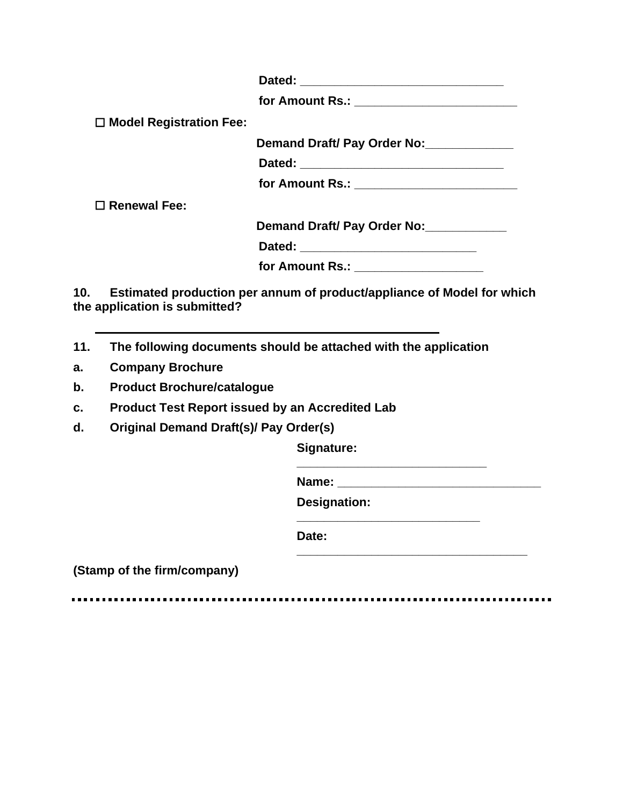**Dated: \_\_\_\_\_\_\_\_\_\_\_\_\_\_\_\_\_\_\_\_\_\_\_\_\_\_\_\_\_\_**

**for Amount Rs.: \_\_\_\_\_\_\_\_\_\_\_\_\_\_\_\_\_\_\_\_\_\_\_\_**

☐ **Model Registration Fee:**

**Demand Draft/ Pay Order No:\_\_\_\_\_\_\_\_\_\_\_\_\_**

**Dated: \_\_\_\_\_\_\_\_\_\_\_\_\_\_\_\_\_\_\_\_\_\_\_\_\_\_\_\_\_\_**

**for Amount Rs.: \_\_\_\_\_\_\_\_\_\_\_\_\_\_\_\_\_\_\_\_\_\_\_\_**

☐ **Renewal Fee:**

**Demand Draft/ Pay Order No:\_\_\_\_\_\_\_\_\_\_\_\_** 

**Dated:**  $\blacksquare$ 

**for Amount Rs.:** *letters* 

**10. Estimated production per annum of product/appliance of Model for which the application is submitted?**

- **11. The following documents should be attached with the application**
- **a. Company Brochure**
- **b. Product Brochure/catalogue**
- **c. Product Test Report issued by an Accredited Lab**
- **d. Original Demand Draft(s)/ Pay Order(s)**

**Signature:** 

**Name:**  $\blacksquare$ 

**Designation:** 

**\_\_\_\_\_\_\_\_\_\_\_\_\_\_\_\_\_\_\_\_\_\_\_\_\_\_\_\_**

**\_\_\_\_\_\_\_\_\_\_\_\_\_\_\_\_\_\_\_\_\_\_\_\_\_\_\_**

**\_\_\_\_\_\_\_\_\_\_\_\_\_\_\_\_\_\_\_\_\_\_\_\_\_\_\_\_\_\_\_\_\_\_**

**Date:** 

**(Stamp of the firm/company)**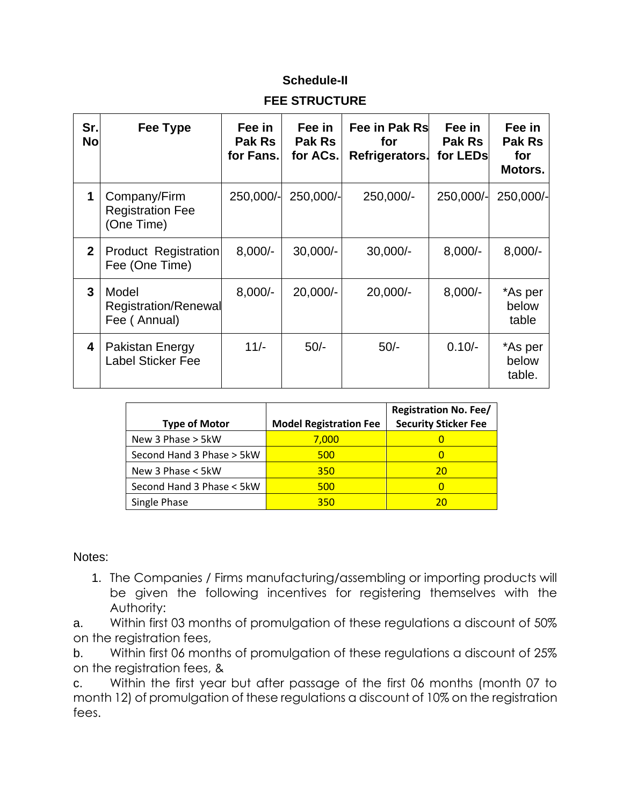## **Schedule-II**

## **FEE STRUCTURE**

| Sr.<br><b>No</b> | Fee Type                                              | Fee in<br>Pak Rs<br>for Fans. | Fee in<br>Pak Rs<br>for ACs. | Fee in Pak Rs<br>for<br>Refrigerators. | Fee in<br><b>Pak Rs</b><br>for LEDs | Fee in<br>Pak Rs<br>for<br>Motors. |
|------------------|-------------------------------------------------------|-------------------------------|------------------------------|----------------------------------------|-------------------------------------|------------------------------------|
| 1                | Company/Firm<br><b>Registration Fee</b><br>(One Time) | 250,000/-                     | 250,000/-                    | 250,000/-                              | 250,000/-                           | 250,000/-                          |
| $\mathbf{2}$     | <b>Product Registration</b><br>Fee (One Time)         | $8,000/-$                     | $30,000/-$                   | $30,000/-$                             | $8,000/-$                           | $8,000/-$                          |
| 3                | Model<br>Registration/Renewal<br>Fee (Annual)         | $8,000/-$                     | $20,000/-$                   | $20,000/-$                             | $8,000/-$                           | *As per<br>below<br>table          |
| 4                | <b>Pakistan Energy</b><br><b>Label Sticker Fee</b>    | $11/-$                        | $50/-$                       | $50/-$                                 | $0.10/-$                            | *As per<br>below<br>table.         |

| <b>Type of Motor</b>      | <b>Model Registration Fee</b> | <b>Registration No. Fee/</b><br><b>Security Sticker Fee</b> |
|---------------------------|-------------------------------|-------------------------------------------------------------|
| New 3 Phase > 5kW         | 7,000                         |                                                             |
| Second Hand 3 Phase > 5kW | 500                           |                                                             |
| New 3 Phase < 5kW         | 350                           | 20                                                          |
| Second Hand 3 Phase < 5kW | 500                           |                                                             |
| Single Phase              | 350                           | 20                                                          |

Notes:

1. The Companies / Firms manufacturing/assembling or importing products will be given the following incentives for registering themselves with the Authority:

a. Within first 03 months of promulgation of these regulations a discount of 50% on the registration fees,

b. Within first 06 months of promulgation of these regulations a discount of 25% on the registration fees, &

c. Within the first year but after passage of the first 06 months (month 07 to month 12) of promulgation of these regulations a discount of 10% on the registration fees.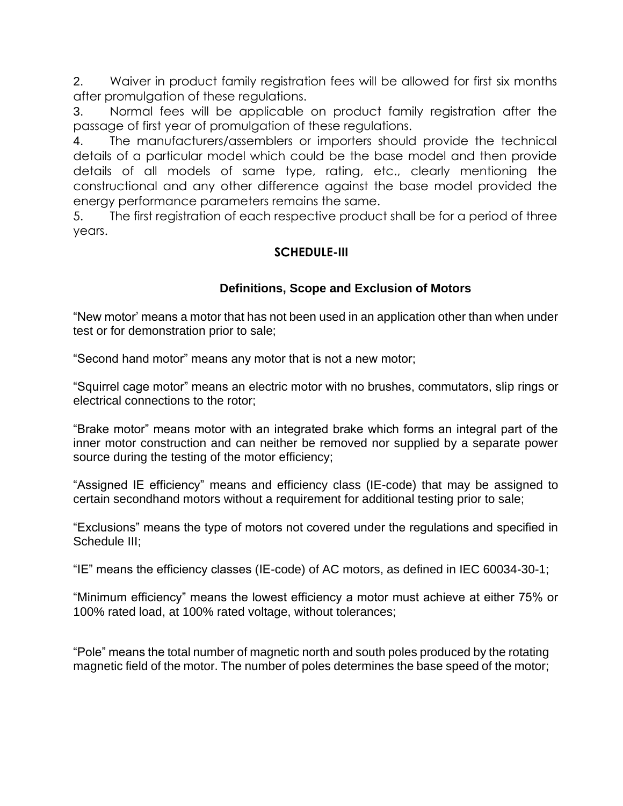2. Waiver in product family registration fees will be allowed for first six months after promulgation of these regulations.

3. Normal fees will be applicable on product family registration after the passage of first year of promulgation of these regulations.

4. The manufacturers/assemblers or importers should provide the technical details of a particular model which could be the base model and then provide details of all models of same type, rating, etc., clearly mentioning the constructional and any other difference against the base model provided the energy performance parameters remains the same.

5. The first registration of each respective product shall be for a period of three years.

## **SCHEDULE-III**

## **Definitions, Scope and Exclusion of Motors**

"New motor' means a motor that has not been used in an application other than when under test or for demonstration prior to sale;

"Second hand motor" means any motor that is not a new motor;

"Squirrel cage motor" means an electric motor with no brushes, commutators, slip rings or electrical connections to the rotor;

"Brake motor" means motor with an integrated brake which forms an integral part of the inner motor construction and can neither be removed nor supplied by a separate power source during the testing of the motor efficiency;

"Assigned IE efficiency" means and efficiency class (IE-code) that may be assigned to certain secondhand motors without a requirement for additional testing prior to sale;

"Exclusions" means the type of motors not covered under the regulations and specified in Schedule III;

"IE" means the efficiency classes (IE-code) of AC motors, as defined in IEC 60034-30-1;

"Minimum efficiency" means the lowest efficiency a motor must achieve at either 75% or 100% rated load, at 100% rated voltage, without tolerances;

"Pole" means the total number of magnetic north and south poles produced by the rotating magnetic field of the motor. The number of poles determines the base speed of the motor;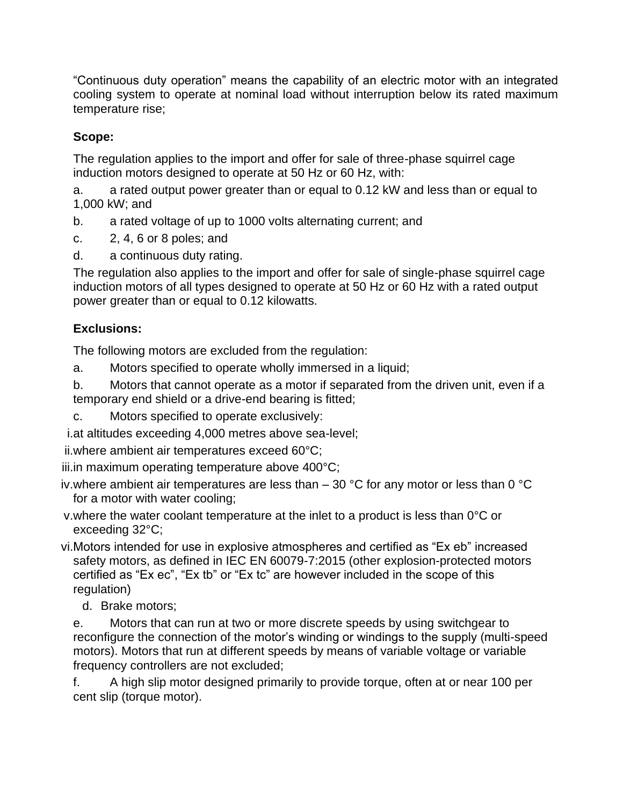"Continuous duty operation" means the capability of an electric motor with an integrated cooling system to operate at nominal load without interruption below its rated maximum temperature rise;

# **Scope:**

The regulation applies to the import and offer for sale of three-phase squirrel cage induction motors designed to operate at 50 Hz or 60 Hz, with:

a. a rated output power greater than or equal to 0.12 kW and less than or equal to 1,000 kW; and

- b. a rated voltage of up to 1000 volts alternating current; and
- c. 2, 4, 6 or 8 poles; and
- d. a continuous duty rating.

The regulation also applies to the import and offer for sale of single-phase squirrel cage induction motors of all types designed to operate at 50 Hz or 60 Hz with a rated output power greater than or equal to 0.12 kilowatts.

# **Exclusions:**

The following motors are excluded from the regulation:

a. Motors specified to operate wholly immersed in a liquid;

b. Motors that cannot operate as a motor if separated from the driven unit, even if a temporary end shield or a drive-end bearing is fitted;

c. Motors specified to operate exclusively:

i.at altitudes exceeding 4,000 metres above sea-level;

ii.where ambient air temperatures exceed 60°C;

iii.in maximum operating temperature above 400°C;

iv. where ambient air temperatures are less than  $-$  30 °C for any motor or less than 0 °C for a motor with water cooling;

- v.where the water coolant temperature at the inlet to a product is less than 0°C or exceeding 32°C;
- vi.Motors intended for use in explosive atmospheres and certified as "Ex eb" increased safety motors, as defined in IEC EN 60079-7:2015 (other explosion-protected motors certified as "Ex ec", "Ex tb" or "Ex tc" are however included in the scope of this regulation)
	- d. Brake motors;

e. Motors that can run at two or more discrete speeds by using switchgear to reconfigure the connection of the motor's winding or windings to the supply (multi-speed motors). Motors that run at different speeds by means of variable voltage or variable frequency controllers are not excluded;

f. A high slip motor designed primarily to provide torque, often at or near 100 per cent slip (torque motor).